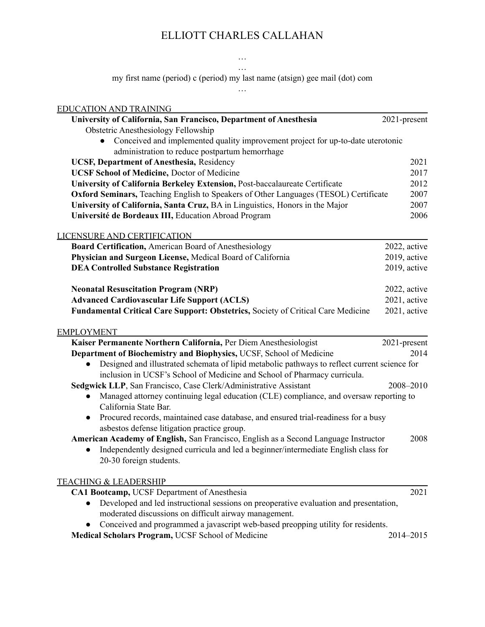# ELLIOTT CHARLES CALLAHAN

#### … …

my first name (period) c (period) my last name (atsign) gee mail (dot) com …

| <b>EDUCATION AND TRAINING</b>                                                                                                |              |
|------------------------------------------------------------------------------------------------------------------------------|--------------|
| University of California, San Francisco, Department of Anesthesia                                                            | 2021-present |
| <b>Obstetric Anesthesiology Fellowship</b>                                                                                   |              |
| Conceived and implemented quality improvement project for up-to-date uterotonic                                              |              |
| administration to reduce postpartum hemorrhage                                                                               |              |
| <b>UCSF, Department of Anesthesia, Residency</b>                                                                             | 2021         |
| <b>UCSF School of Medicine, Doctor of Medicine</b>                                                                           | 2017         |
| University of California Berkeley Extension, Post-baccalaureate Certificate                                                  | 2012         |
| Oxford Seminars, Teaching English to Speakers of Other Languages (TESOL) Certificate                                         | 2007         |
| University of California, Santa Cruz, BA in Linguistics, Honors in the Major                                                 | 2007         |
| Université de Bordeaux III, Education Abroad Program                                                                         | 2006         |
| <b>LICENSURE AND CERTIFICATION</b>                                                                                           |              |
| Board Certification, American Board of Anesthesiology                                                                        | 2022, active |
| Physician and Surgeon License, Medical Board of California                                                                   | 2019, active |
| <b>DEA Controlled Substance Registration</b>                                                                                 | 2019, active |
| <b>Neonatal Resuscitation Program (NRP)</b>                                                                                  | 2022, active |
| <b>Advanced Cardiovascular Life Support (ACLS)</b>                                                                           | 2021, active |
| <b>Fundamental Critical Care Support: Obstetrics, Society of Critical Care Medicine</b>                                      | 2021, active |
|                                                                                                                              |              |
| <b>EMPLOYMENT</b>                                                                                                            |              |
| Kaiser Permanente Northern California, Per Diem Anesthesiologist                                                             | 2021-present |
| Department of Biochemistry and Biophysics, UCSF, School of Medicine                                                          | 2014         |
| Designed and illustrated schemata of lipid metabolic pathways to reflect current science for<br>$\bullet$                    |              |
| inclusion in UCSF's School of Medicine and School of Pharmacy curricula.                                                     |              |
| Sedgwick LLP, San Francisco, Case Clerk/Administrative Assistant                                                             | 2008-2010    |
| Managed attorney continuing legal education (CLE) compliance, and oversaw reporting to<br>$\bullet$<br>California State Bar. |              |
| Procured records, maintained case database, and ensured trial-readiness for a busy<br>$\bullet$                              |              |
| asbestos defense litigation practice group.                                                                                  |              |
| American Academy of English, San Francisco, English as a Second Language Instructor                                          | 2008         |
| Independently designed curricula and led a beginner/intermediate English class for<br>$\bullet$                              |              |
| 20-30 foreign students.                                                                                                      |              |
| <b>TEACHING &amp; LEADERSHIP</b>                                                                                             |              |
| CA1 Bootcamp, UCSF Department of Anesthesia                                                                                  | 2021         |
| Developed and led instructional sessions on preoperative evaluation and presentation,<br>$\bullet$                           |              |
| moderated discussions on difficult airway management.                                                                        |              |
| Conceived and programmed a javascript web-based preopping utility for residents.                                             |              |
| Medical Scholars Program, UCSF School of Medicine                                                                            | 2014-2015    |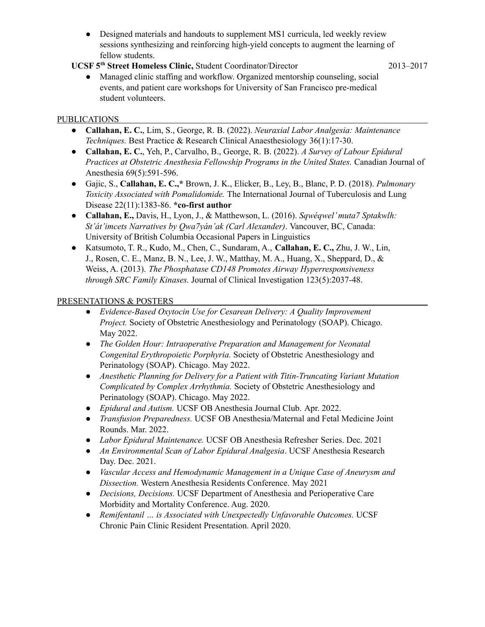- Designed materials and handouts to supplement MS1 curricula, led weekly review sessions synthesizing and reinforcing high-yield concepts to augment the learning of fellow students.
- **UCSF 5 th Street Homeless Clinic,** Student Coordinator/Director 2013–2017

● Managed clinic staffing and workflow. Organized mentorship counseling, social events, and patient care workshops for University of San Francisco pre-medical student volunteers.

## PUBLICATIONS

- **Callahan, E. C.**, Lim, S., George, R. B. (2022). *Neuraxial Labor Analgesia: Maintenance Techniques.* Best Practice & Research Clinical Anaesthesiology 36(1):17-30.
- **Callahan, E. C.**, Yeh, P., Carvalho, B., George, R. B. (2022). *A Survey of Labour Epidural Practices at Obstetric Anesthesia Fellowship Programs in the United States.* Canadian Journal of Anesthesia 69(5):591-596.
- Gajic, S., **Callahan, E. C.,\*** Brown, J. K., Elicker, B., Ley, B., Blanc, P. D. (2018). *Pulmonary Toxicity Associated with Pomalidomide.* The International Journal of Tuberculosis and Lung Disease 22(11):1383-86. **\*co-first author**
- **● Callahan, E.,** Davis, H., Lyon, J., & Matthewson, L. (2016). *Sqwéqwel'muta7 Sptakwlh: St'át'imcets Narratives by Qwa7yán'ak (Carl Alexander)*. Vancouver, BC, Canada: University of British Columbia Occasional Papers in Linguistics
- Katsumoto, T. R., Kudo, M., Chen, C., Sundaram, A., **Callahan, E. C.,** Zhu, J. W., Lin, J., Rosen, C. E., Manz, B. N., Lee, J. W., Matthay, M. A., Huang, X., Sheppard, D., & Weiss, A. (2013). *The Phosphatase CD148 Promotes Airway Hyperresponsiveness through SRC Family Kinases.* Journal of Clinical Investigation 123(5):2037-48.

### PRESENTATIONS & POSTERS

- *Evidence-Based Oxytocin Use for Cesarean Delivery: A Quality Improvement Project.* Society of Obstetric Anesthesiology and Perinatology (SOAP). Chicago. May 2022.
- *The Golden Hour: Intraoperative Preparation and Management for Neonatal Congenital Erythropoietic Porphyria.* Society of Obstetric Anesthesiology and Perinatology (SOAP). Chicago. May 2022.
- *Anesthetic Planning for Delivery for a Patient with Titin-Truncating Variant Mutation Complicated by Complex Arrhythmia.* Society of Obstetric Anesthesiology and Perinatology (SOAP). Chicago. May 2022.
- *● Epidural and Autism.* UCSF OB Anesthesia Journal Club. Apr. 2022.
- *Transfusion Preparedness.* UCSF OB Anesthesia/Maternal and Fetal Medicine Joint Rounds. Mar. 2022.
- *Labor Epidural Maintenance.* UCSF OB Anesthesia Refresher Series. Dec. 2021
- *An Environmental Scan of Labor Epidural Analgesia*. UCSF Anesthesia Research Day. Dec. 2021.
- *Vascular Access and Hemodynamic Management in a Unique Case of Aneurysm and Dissection.* Western Anesthesia Residents Conference. May 2021
- *Decisions, Decisions.* UCSF Department of Anesthesia and Perioperative Care Morbidity and Mortality Conference. Aug. 2020.
- *● Remifentanil … is Associated with Unexpectedly Unfavorable Outcomes.* UCSF Chronic Pain Clinic Resident Presentation. April 2020.